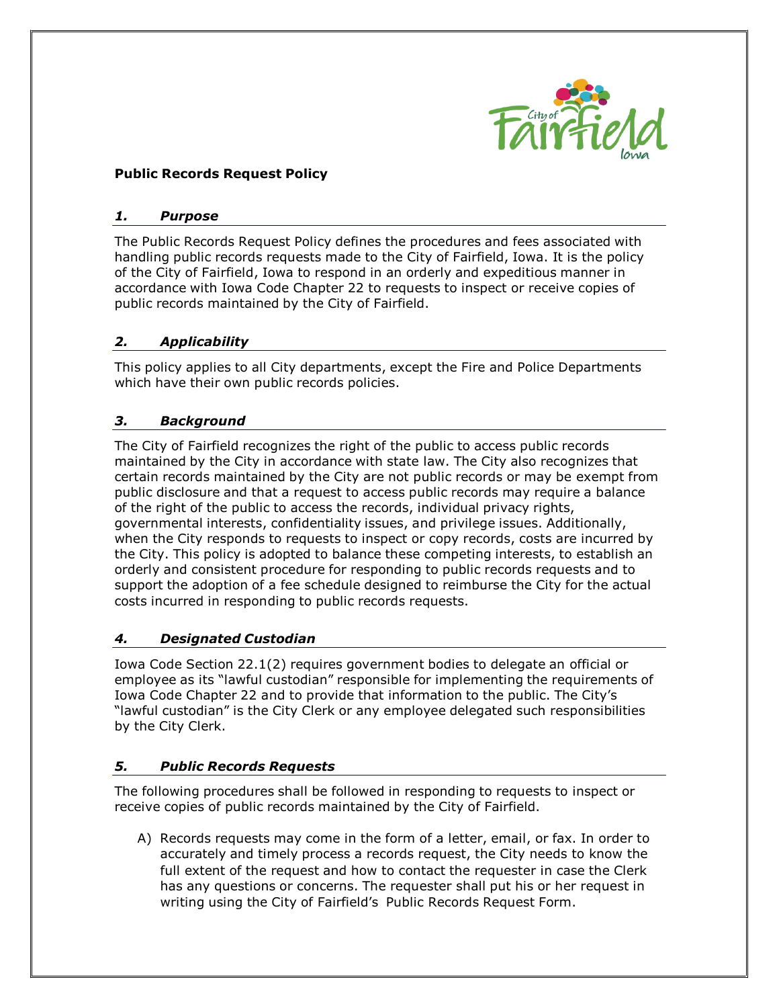

# **Public Records Request Policy**

#### *1. Purpose*

The Public Records Request Policy defines the procedures and fees associated with handling public records requests made to the City of Fairfield, Iowa. It is the policy of the City of Fairfield, Iowa to respond in an orderly and expeditious manner in accordance with Iowa Code Chapter 22 to requests to inspect or receive copies of public records maintained by the City of Fairfield.

## *2. Applicability*

This policy applies to all City departments, except the Fire and Police Departments which have their own public records policies.

## *3. Background*

The City of Fairfield recognizes the right of the public to access public records maintained by the City in accordance with state law. The City also recognizes that certain records maintained by the City are not public records or may be exempt from public disclosure and that a request to access public records may require a balance of the right of the public to access the records, individual privacy rights, governmental interests, confidentiality issues, and privilege issues. Additionally, when the City responds to requests to inspect or copy records, costs are incurred by the City. This policy is adopted to balance these competing interests, to establish an orderly and consistent procedure for responding to public records requests and to support the adoption of a fee schedule designed to reimburse the City for the actual costs incurred in responding to public records requests.

#### *4. Designated Custodian*

Iowa Code Section 22.1(2) requires government bodies to delegate an official or employee as its "lawful custodian" responsible for implementing the requirements of Iowa Code Chapter 22 and to provide that information to the public. The City's "lawful custodian" is the City Clerk or any employee delegated such responsibilities by the City Clerk.

# *5. Public Records Requests*

The following procedures shall be followed in responding to requests to inspect or receive copies of public records maintained by the City of Fairfield.

A) Records requests may come in the form of a letter, email, or fax. In order to accurately and timely process a records request, the City needs to know the full extent of the request and how to contact the requester in case the Clerk has any questions or concerns. The requester shall put his or her request in writing using the City of Fairfield's Public Records Request Form.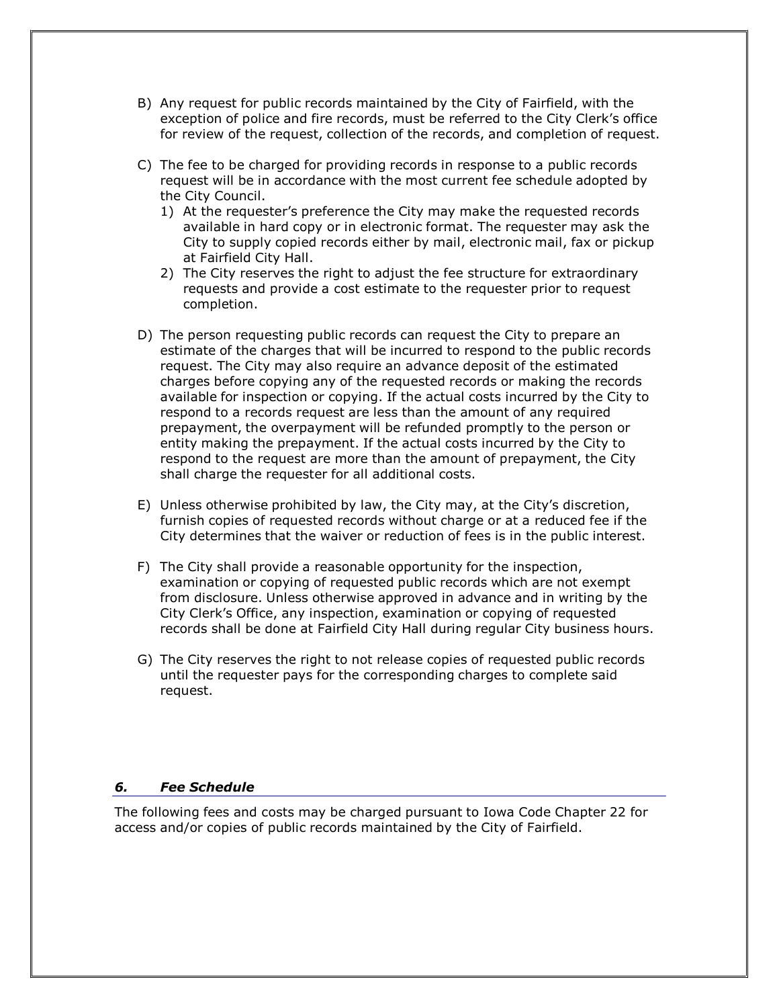- B) Any request for public records maintained by the City of Fairfield, with the exception of police and fire records, must be referred to the City Clerk's office for review of the request, collection of the records, and completion of request.
- C) The fee to be charged for providing records in response to a public records request will be in accordance with the most current fee schedule adopted by the City Council.
	- 1) At the requester's preference the City may make the requested records available in hard copy or in electronic format. The requester may ask the City to supply copied records either by mail, electronic mail, fax or pickup at Fairfield City Hall.
	- 2) The City reserves the right to adjust the fee structure for extraordinary requests and provide a cost estimate to the requester prior to request completion.
- D) The person requesting public records can request the City to prepare an estimate of the charges that will be incurred to respond to the public records request. The City may also require an advance deposit of the estimated charges before copying any of the requested records or making the records available for inspection or copying. If the actual costs incurred by the City to respond to a records request are less than the amount of any required prepayment, the overpayment will be refunded promptly to the person or entity making the prepayment. If the actual costs incurred by the City to respond to the request are more than the amount of prepayment, the City shall charge the requester for all additional costs.
- E) Unless otherwise prohibited by law, the City may, at the City's discretion, furnish copies of requested records without charge or at a reduced fee if the City determines that the waiver or reduction of fees is in the public interest.
- F) The City shall provide a reasonable opportunity for the inspection, examination or copying of requested public records which are not exempt from disclosure. Unless otherwise approved in advance and in writing by the City Clerk's Office, any inspection, examination or copying of requested records shall be done at Fairfield City Hall during regular City business hours.
- G) The City reserves the right to not release copies of requested public records until the requester pays for the corresponding charges to complete said request.

#### *6. Fee Schedule*

The following fees and costs may be charged pursuant to Iowa Code Chapter 22 for access and/or copies of public records maintained by the City of Fairfield.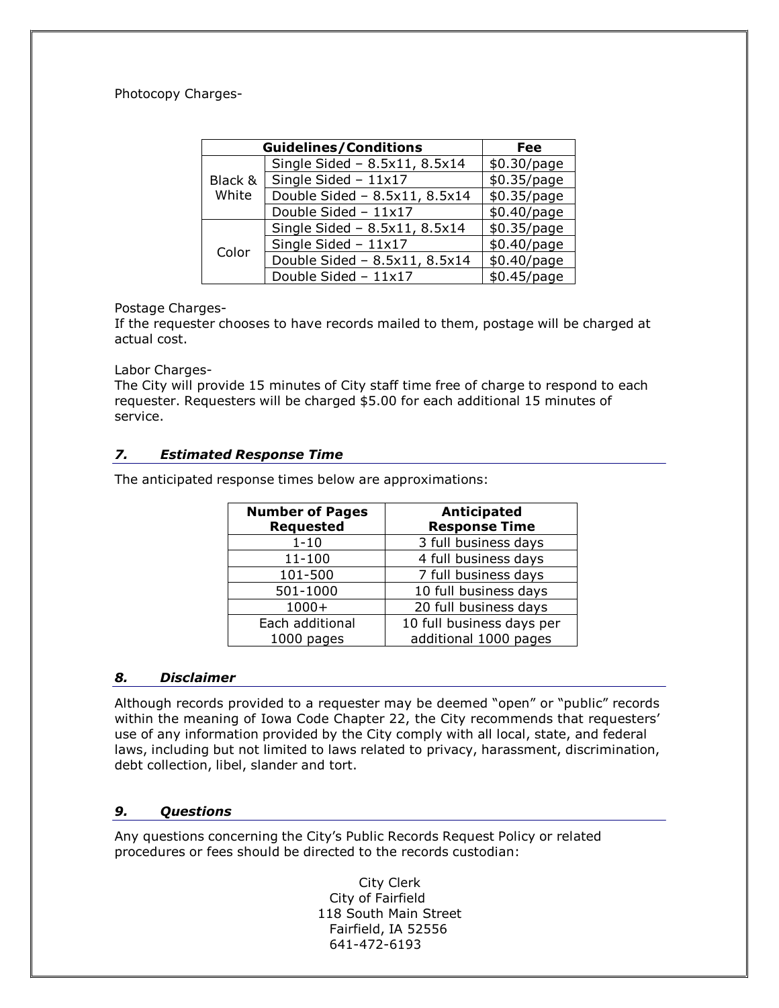# Photocopy Charges-

| <b>Guidelines/Conditions</b> | Fee                           |             |
|------------------------------|-------------------------------|-------------|
|                              | Single Sided - 8.5x11, 8.5x14 | \$0.30/page |
| Black &<br>White             | Single Sided $-11x17$         | \$0.35/page |
|                              | Double Sided - 8.5x11, 8.5x14 | \$0.35/page |
|                              | Double Sided - 11x17          | \$0.40/page |
|                              | Single Sided - 8.5x11, 8.5x14 | \$0.35/page |
| Color                        | Single Sided $-11x17$         | \$0.40/page |
|                              | Double Sided - 8.5x11, 8.5x14 | \$0.40/page |
|                              | Double Sided - 11x17          | \$0.45/page |

## Postage Charges-

If the requester chooses to have records mailed to them, postage will be charged at actual cost.

#### Labor Charges-

The City will provide 15 minutes of City staff time free of charge to respond to each requester. Requesters will be charged \$5.00 for each additional 15 minutes of service.

# *7. Estimated Response Time*

The anticipated response times below are approximations:

| <b>Number of Pages</b><br><b>Requested</b> | <b>Anticipated</b><br><b>Response Time</b> |  |  |
|--------------------------------------------|--------------------------------------------|--|--|
| $1 - 10$                                   | 3 full business days                       |  |  |
| $11 - 100$                                 | 4 full business days                       |  |  |
| 101-500                                    | 7 full business days                       |  |  |
| 501-1000                                   | 10 full business days                      |  |  |
| $1000+$                                    | 20 full business days                      |  |  |
| Each additional                            | 10 full business days per                  |  |  |
| 1000 pages                                 | additional 1000 pages                      |  |  |

#### *8. Disclaimer*

Although records provided to a requester may be deemed "open" or "public" records within the meaning of Iowa Code Chapter 22, the City recommends that requesters' use of any information provided by the City comply with all local, state, and federal laws, including but not limited to laws related to privacy, harassment, discrimination, debt collection, libel, slander and tort.

#### *9. Questions*

Any questions concerning the City's Public Records Request Policy or related procedures or fees should be directed to the records custodian:

> City Clerk City of Fairfield 118 South Main Street Fairfield, IA 52556 641-472-6193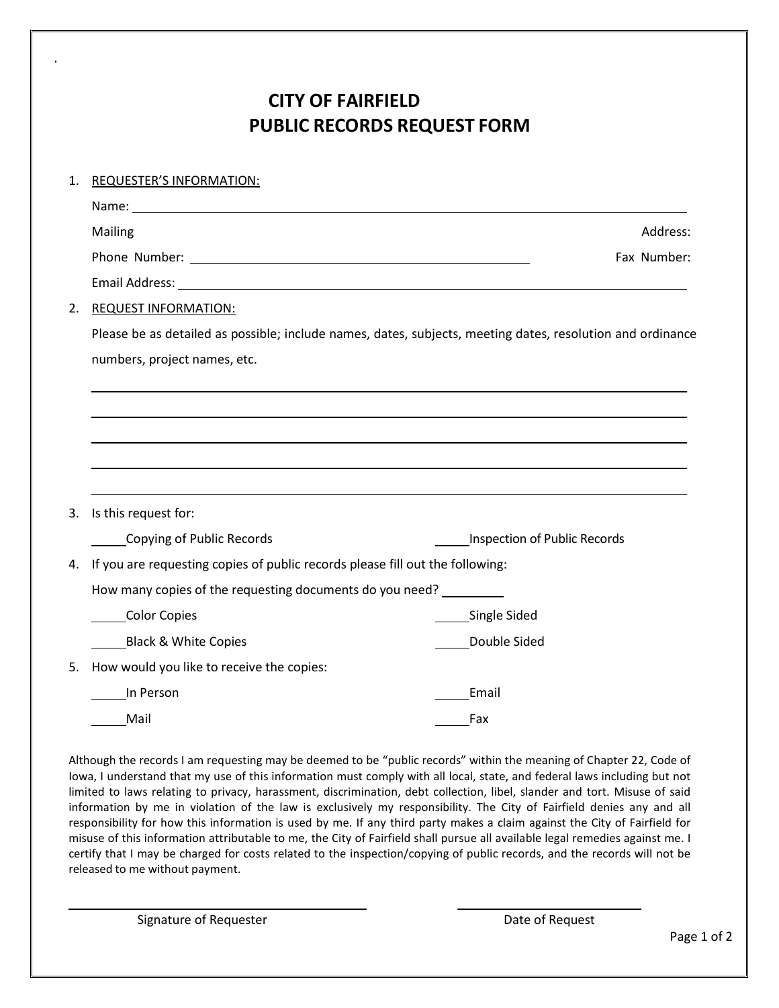# **CITY OF FAIRFIELD PUBLIC RECORDS REQUEST FORM**

| 1. | <b>REQUESTER'S INFORMATION:</b>                                                                            |                              |  |  |  |  |  |
|----|------------------------------------------------------------------------------------------------------------|------------------------------|--|--|--|--|--|
|    | Name: Name:                                                                                                |                              |  |  |  |  |  |
|    | Mailing                                                                                                    | Address:                     |  |  |  |  |  |
|    |                                                                                                            | Fax Number:                  |  |  |  |  |  |
|    |                                                                                                            |                              |  |  |  |  |  |
| 2. | <b>REQUEST INFORMATION:</b>                                                                                |                              |  |  |  |  |  |
|    | Please be as detailed as possible; include names, dates, subjects, meeting dates, resolution and ordinance |                              |  |  |  |  |  |
|    | numbers, project names, etc.                                                                               |                              |  |  |  |  |  |
|    |                                                                                                            |                              |  |  |  |  |  |
|    |                                                                                                            |                              |  |  |  |  |  |
|    |                                                                                                            |                              |  |  |  |  |  |
|    |                                                                                                            |                              |  |  |  |  |  |
|    |                                                                                                            |                              |  |  |  |  |  |
| 3. | Is this request for:                                                                                       |                              |  |  |  |  |  |
|    | Copying of Public Records                                                                                  | Inspection of Public Records |  |  |  |  |  |
| 4. | If you are requesting copies of public records please fill out the following:                              |                              |  |  |  |  |  |
|    | How many copies of the requesting documents do you need?                                                   |                              |  |  |  |  |  |
|    | Color Copies                                                                                               | _Single Sided                |  |  |  |  |  |
|    | <b>Black &amp; White Copies</b>                                                                            | Double Sided                 |  |  |  |  |  |
| 5. | How would you like to receive the copies:                                                                  |                              |  |  |  |  |  |
|    | In Person                                                                                                  | Email                        |  |  |  |  |  |
|    | Mail                                                                                                       | Fax                          |  |  |  |  |  |

Although the records I am requesting may be deemed to be "public records" within the meaning of Chapter 22, Code of Iowa, I understand that my use of this information must comply with all local, state, and federal laws including but not limited to laws relating to privacy, harassment, discrimination, debt collection, libel, slander and tort. Misuse of said information by me in violation of the law is exclusively my responsibility. The City of Fairfield denies any and all responsibility for how this information is used by me. If any third party makes a claim against the City of Fairfield for misuse of this information attributable to me, the City of Fairfield shall pursue all available legal remedies against me. I certify that I may be charged for costs related to the inspection/copying of public records, and the records will not be released to me without payment.

Signature of Requester **Date of Request Date of Request** 

.